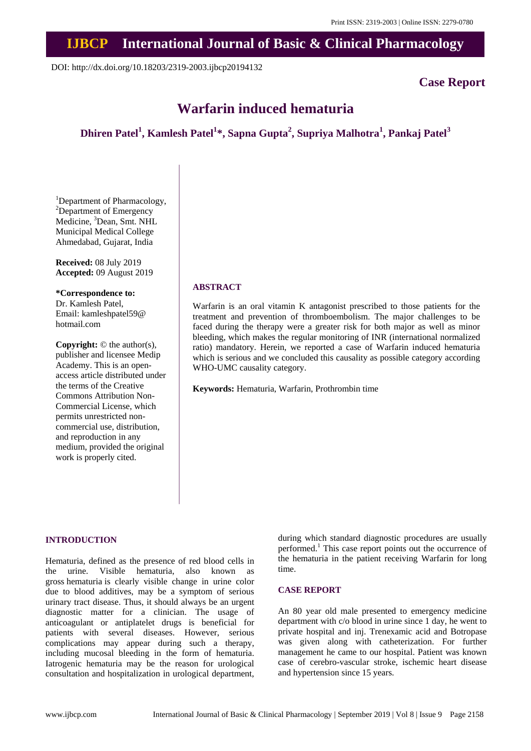# **IJBCP International Journal of Basic & Clinical Pharmacology**

DOI: http://dx.doi.org/10.18203/2319-2003.ijbcp20194132

## **Case Report**

# **Warfarin induced hematuria**

# **Dhiren Patel<sup>1</sup> , Kamlesh Patel<sup>1</sup> \*, Sapna Gupta<sup>2</sup> , Supriya Malhotra<sup>1</sup> , Pankaj Patel<sup>3</sup>**

<sup>1</sup>Department of Pharmacology, <sup>2</sup>Department of Emergency Medicine, <sup>3</sup>Dean, Smt. NHL Municipal Medical College Ahmedabad, Gujarat, India

**Received:** 08 July 2019 **Accepted:** 09 August 2019

**\*Correspondence to:** Dr. Kamlesh Patel, Email: kamleshpatel59@ hotmail.com

**Copyright:** © the author(s), publisher and licensee Medip Academy. This is an openaccess article distributed under the terms of the Creative Commons Attribution Non-Commercial License, which permits unrestricted noncommercial use, distribution, and reproduction in any medium, provided the original work is properly cited.

## **ABSTRACT**

Warfarin is an oral vitamin K antagonist prescribed to those patients for the treatment and prevention of thromboembolism. The major challenges to be faced during the therapy were a greater risk for both major as well as minor bleeding, which makes the regular monitoring of INR (international normalized ratio) mandatory. Herein, we reported a case of Warfarin induced hematuria which is serious and we concluded this causality as possible category according WHO-UMC causality category.

**Keywords:** Hematuria, Warfarin, Prothrombin time

#### **INTRODUCTION**

Hematuria, defined as the presence of red blood cells in the urine. Visible hematuria, also known as gross hematuria is clearly visible change in urine color due to blood additives, may be a symptom of serious urinary tract disease. Thus, it should always be an urgent diagnostic matter for a clinician. The usage of anticoagulant or antiplatelet drugs is beneficial for patients with several diseases. However, serious complications may appear during such a therapy, including mucosal bleeding in the form of hematuria. Iatrogenic hematuria may be the reason for urological consultation and hospitalization in urological department,

during which standard diagnostic procedures are usually performed. <sup>1</sup> This case report points out the occurrence of the hematuria in the patient receiving Warfarin for long time.

### **CASE REPORT**

An 80 year old male presented to emergency medicine department with c/o blood in urine since 1 day, he went to private hospital and inj. Trenexamic acid and Botropase was given along with catheterization. For further management he came to our hospital. Patient was known case of cerebro-vascular stroke, ischemic heart disease and hypertension since 15 years.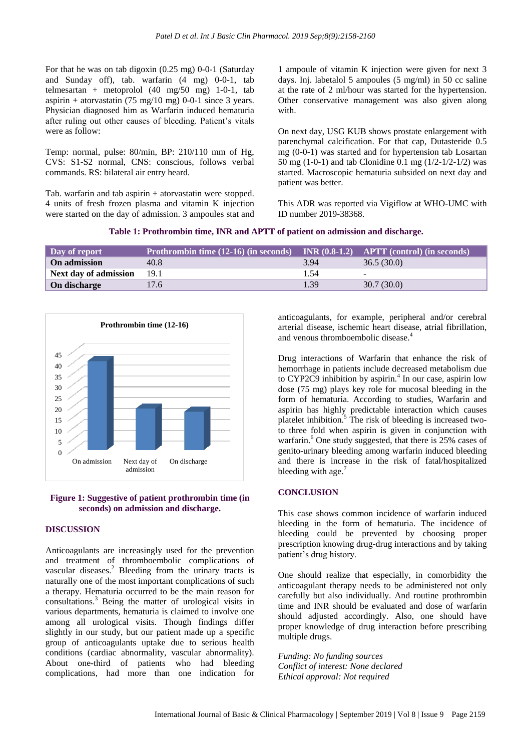For that he was on tab digoxin (0.25 mg) 0-0-1 (Saturday and Sunday off), tab. warfarin (4 mg) 0-0-1, tab telmesartan + metoprolol  $(40 \text{ mg}/50 \text{ mg})$  1-0-1, tab aspirin + atorvastatin  $(75 \text{ mg}/10 \text{ mg})$  0-0-1 since 3 years. Physician diagnosed him as Warfarin induced hematuria after ruling out other causes of bleeding. Patient's vitals were as follow:

Temp: normal, pulse: 80/min, BP: 210/110 mm of Hg, CVS: S1-S2 normal, CNS: conscious, follows verbal commands. RS: bilateral air entry heard.

Tab. warfarin and tab aspirin + atorvastatin were stopped. 4 units of fresh frozen plasma and vitamin K injection were started on the day of admission. 3 ampoules stat and

1 ampoule of vitamin K injection were given for next 3 days. Inj. labetalol 5 ampoules (5 mg/ml) in 50 cc saline at the rate of 2 ml/hour was started for the hypertension. Other conservative management was also given along with.

On next day, USG KUB shows prostate enlargement with parenchymal calcification. For that cap, Dutasteride 0.5 mg (0-0-1) was started and for hypertension tab Losartan 50 mg (1-0-1) and tab Clonidine 0.1 mg (1/2-1/2-1/2) was started. Macroscopic hematuria subsided on next day and patient was better.

This ADR was reported via Vigiflow at WHO-UMC with ID number 2019-38368.

| Table 1: Prothrombin time, INR and APTT of patient on admission and discharge. |
|--------------------------------------------------------------------------------|
|--------------------------------------------------------------------------------|

| Day of report         | <b>Prothrombin time (12-16) (in seconds)</b> |      | $\overline{\phantom{a}}$ INR (0.8-1.2) APTT (control) (in seconds) |
|-----------------------|----------------------------------------------|------|--------------------------------------------------------------------|
| On admission          | 40.8                                         | 3.94 | 36.5(30.0)                                                         |
| Next day of admission | 19.1                                         | 1.54 | $\overline{\phantom{a}}$                                           |
| On discharge          | 17.6                                         | 1.39 | 30.7(30.0)                                                         |





#### **DISCUSSION**

Anticoagulants are increasingly used for the prevention and treatment of thromboembolic complications of vascular diseases. <sup>2</sup> Bleeding from the urinary tracts is naturally one of the most important complications of such a therapy. Hematuria occurred to be the main reason for consultations.<sup>3</sup> Being the matter of urological visits in various departments, hematuria is claimed to involve one among all urological visits. Though findings differ slightly in our study, but our patient made up a specific group of anticoagulants uptake due to serious health conditions (cardiac abnormality, vascular abnormality). About one-third of patients who had bleeding complications, had more than one indication for

anticoagulants, for example, peripheral and/or cerebral arterial disease, ischemic heart disease, atrial fibrillation, and venous thromboembolic disease.<sup>4</sup>

Drug interactions of Warfarin that enhance the risk of hemorrhage in patients include decreased metabolism due to CYP2C9 inhibition by aspirin.<sup>4</sup> In our case, aspirin low dose (75 mg) plays key role for mucosal bleeding in the form of hematuria. According to studies, Warfarin and aspirin has highly predictable interaction which causes platelet inhibition. <sup>5</sup> The risk of bleeding is increased twoto three fold when aspirin is given in conjunction with warfarin. <sup>6</sup> One study suggested, that there is 25% cases of genito-urinary bleeding among warfarin induced bleeding and there is increase in the risk of fatal/hospitalized bleeding with age. $<sup>7</sup>$ </sup>

### **CONCLUSION**

This case shows common incidence of warfarin induced bleeding in the form of hematuria. The incidence of bleeding could be prevented by choosing proper prescription knowing drug-drug interactions and by taking patient's drug history.

One should realize that especially, in comorbidity the anticoagulant therapy needs to be administered not only carefully but also individually. And routine prothrombin time and INR should be evaluated and dose of warfarin should adjusted accordingly. Also, one should have proper knowledge of drug interaction before prescribing multiple drugs.

*Funding: No funding sources Conflict of interest: None declared Ethical approval: Not required*